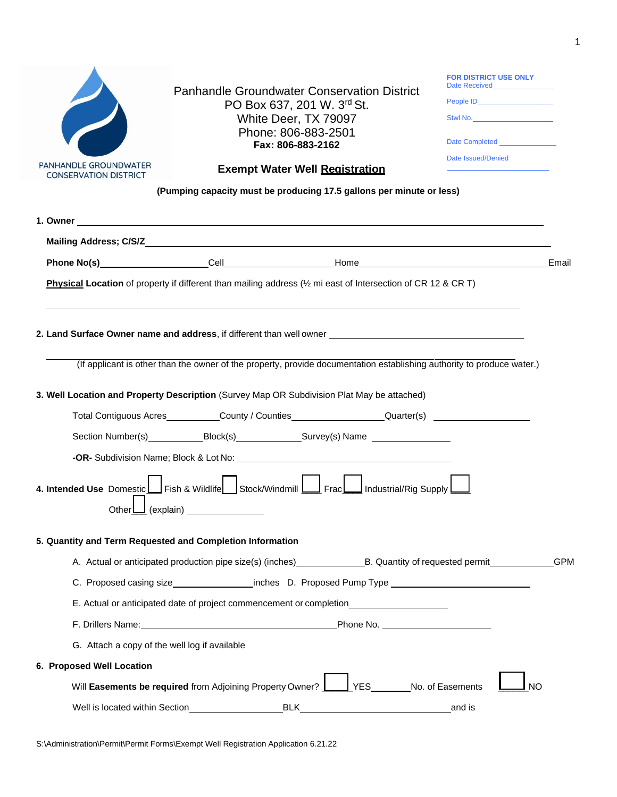

Panhandle Groundwater Conservation District PO Box 637, 201 W. 3rd St. White Deer, TX 79097 Phone: 806-883-2501 **Fax: 806-883-2162**

| <b>FOR DISTRICT USE ONLY</b> |
|------------------------------|
| People ID_________________   |
| Stwl No.                     |
| Date Completed               |
| Date Issued/Denied           |

## **Exempt Water Well Registration**

**(Pumping capacity must be producing 17.5 gallons per minute or less)**

|                                                                                                                                                                                                                                    | Email |  |  |  |  |  |  |  |
|------------------------------------------------------------------------------------------------------------------------------------------------------------------------------------------------------------------------------------|-------|--|--|--|--|--|--|--|
| <b>Physical Location</b> of property if different than mailing address $\frac{1}{2}$ mi east of Intersection of CR 12 & CR T)                                                                                                      |       |  |  |  |  |  |  |  |
| 2. Land Surface Owner name and address, if different than well owner <b>effect than 10</b> and the surface of the surface of the surface of the surface of the surface of the surface of the surface of the surface of the surface |       |  |  |  |  |  |  |  |
| (If applicant is other than the owner of the property, provide documentation establishing authority to produce water.)                                                                                                             |       |  |  |  |  |  |  |  |
| 3. Well Location and Property Description (Survey Map OR Subdivision Plat May be attached)                                                                                                                                         |       |  |  |  |  |  |  |  |
| Total Contiguous Acres___________County / Counties__________________Quarter(s) ____________________                                                                                                                                |       |  |  |  |  |  |  |  |
| Section Number(s)_____________Block(s)________________Survey(s) Name ____________                                                                                                                                                  |       |  |  |  |  |  |  |  |
|                                                                                                                                                                                                                                    |       |  |  |  |  |  |  |  |
| 4. Intended Use Domestic   Fish & Wildlife   Stock/Windmill   Frac   Industrial/Rig Supply<br>Other $\boxed{\phantom{a}}$ (explain)                                                                                                |       |  |  |  |  |  |  |  |
| 5. Quantity and Term Requested and Completion Information                                                                                                                                                                          |       |  |  |  |  |  |  |  |
| A. Actual or anticipated production pipe size(s) (inches) B. Quantity of requested permit GPM                                                                                                                                      |       |  |  |  |  |  |  |  |
|                                                                                                                                                                                                                                    |       |  |  |  |  |  |  |  |
| E. Actual or anticipated date of project commencement or completion                                                                                                                                                                |       |  |  |  |  |  |  |  |
| F. Drillers Name: Name: No. 2008. Phone No. 2008. Phone No. 2008. 2009. Phone No. 2009. 2009. 2014. The Contract of the Contract of the Contract of the Contract of the Contract of the Contract of the Contract of the Contra     |       |  |  |  |  |  |  |  |
| G. Attach a copy of the well log if available                                                                                                                                                                                      |       |  |  |  |  |  |  |  |
| 6. Proposed Well Location                                                                                                                                                                                                          |       |  |  |  |  |  |  |  |
| Will Easements be required from Adjoining Property Owner? VES No. of Easements<br><b>NO</b>                                                                                                                                        |       |  |  |  |  |  |  |  |
|                                                                                                                                                                                                                                    |       |  |  |  |  |  |  |  |

S:\Administration\Permit\Permit Forms\Exempt Well Registration Application 6.21.22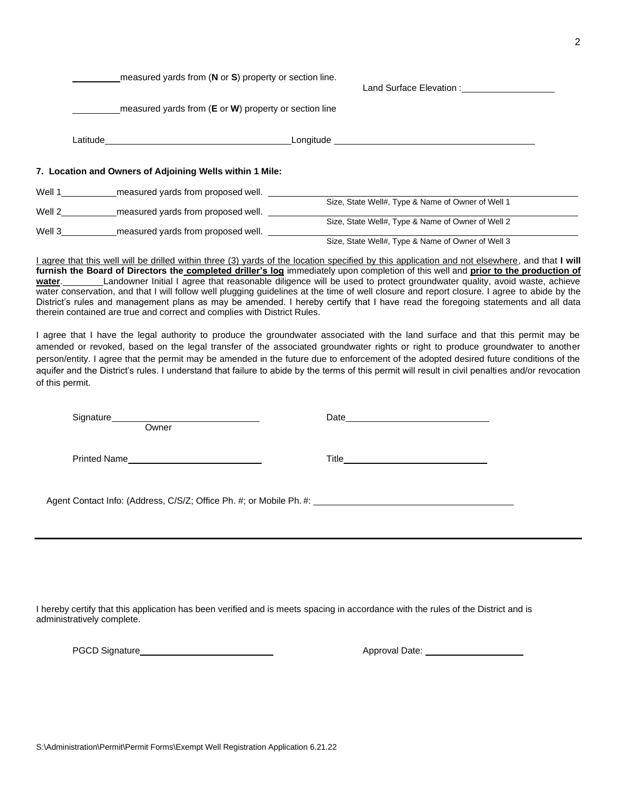S:\Administration\Permit\Permit Forms\Exempt Well Registration Application 6.21.22

measured yards from (**N** or **S**) property or section line.

Land Surface Elevation : Land Surface Elevation :

measured yards from (**E** or **W**) property or section line

|        | Latitude                                                 | Longitude                                         |
|--------|----------------------------------------------------------|---------------------------------------------------|
|        | 7. Location and Owners of Adjoining Wells within 1 Mile: |                                                   |
| Well 1 | measured yards from proposed well.                       |                                                   |
| Well 2 | measured yards from proposed well.                       | Size, State Well#, Type & Name of Owner of Well 1 |
| Well 3 | measured yards from proposed well.                       | Size, State Well#, Type & Name of Owner of Well 2 |
|        |                                                          | Size, State Well#, Type & Name of Owner of Well 3 |

I agree that this well will be drilled within three (3) yards of the location specified by this application and not elsewhere, and that **I will furnish the Board of Directors the completed driller's log** immediately upon completion of this well and **prior to the production of**  water. Landowner Initial I agree that reasonable diligence will be used to protect groundwater quality, avoid waste, achieve water conservation, and that I will follow well plugging guidelines at the time of well closure and report closure. I agree to abide by the District's rules and management plans as may be amended. I hereby certify that I have read the foregoing statements and all data therein contained are true and correct and complies with District Rules.

I agree that I have the legal authority to produce the groundwater associated with the land surface and that this permit may be amended or revoked, based on the legal transfer of the associated groundwater rights or right to produce groundwater to another person/entity. I agree that the permit may be amended in the future due to enforcement of the adopted desired future conditions of the aquifer and the District's rules. I understand that failure to abide by the terms of this permit will result in civil penalties and/or revocation of this permit.

Signature **Owner** Printed Name Date and the contract of the contract of the contract of the contract of the contract of the contract of the contract of the contract of the contract of the contract of the contract of the contract of the contract of the c Title **The Community of the Community Community** and the Community of the Community of the Community of the Community of the Community of the Community of the Community of the Community of the Community of the Community of Agent Contact Info: (Address, C/S/Z; Office Ph. #; or Mobile Ph. #:

I hereby certify that this application has been verified and is meets spacing in accordance with the rules of the District and is administratively complete.

PGCD Signature Mathematic Approval Date: Mathematic Approval Date: Mathematic Approval Date: